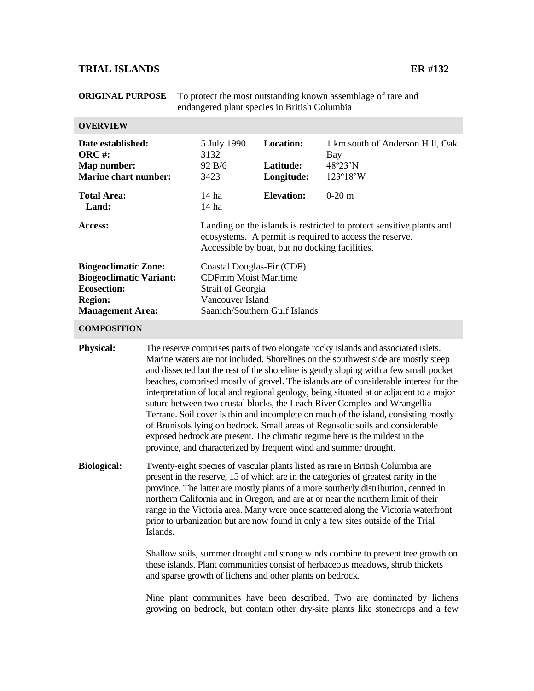## **TRIAL ISLANDS ER #132**

| <b>ORIGINAL PURPOSE</b>                                                                                                          |                                                                                                                                                                                                                                                                                                                                                                                                                                                                                                                                                                                                                                                                                                                                                                                                                                                            | To protect the most outstanding known assemblage of rare and<br>endangered plant species in British Columbia                              |                                                |                                                                                                                                                             |  |
|----------------------------------------------------------------------------------------------------------------------------------|------------------------------------------------------------------------------------------------------------------------------------------------------------------------------------------------------------------------------------------------------------------------------------------------------------------------------------------------------------------------------------------------------------------------------------------------------------------------------------------------------------------------------------------------------------------------------------------------------------------------------------------------------------------------------------------------------------------------------------------------------------------------------------------------------------------------------------------------------------|-------------------------------------------------------------------------------------------------------------------------------------------|------------------------------------------------|-------------------------------------------------------------------------------------------------------------------------------------------------------------|--|
| <b>OVERVIEW</b>                                                                                                                  |                                                                                                                                                                                                                                                                                                                                                                                                                                                                                                                                                                                                                                                                                                                                                                                                                                                            |                                                                                                                                           |                                                |                                                                                                                                                             |  |
| Date established:<br><b>ORC#:</b><br>Map number:<br><b>Marine chart number:</b>                                                  |                                                                                                                                                                                                                                                                                                                                                                                                                                                                                                                                                                                                                                                                                                                                                                                                                                                            | 5 July 1990<br>3132<br>92 B/6<br>3423                                                                                                     | <b>Location:</b><br>Latitude:<br>Longitude:    | 1 km south of Anderson Hill, Oak<br>Bay<br>48°23'N<br>123°18'W                                                                                              |  |
| <b>Total Area:</b><br>Land:                                                                                                      |                                                                                                                                                                                                                                                                                                                                                                                                                                                                                                                                                                                                                                                                                                                                                                                                                                                            | 14 ha<br>14 <sub>ha</sub>                                                                                                                 | <b>Elevation:</b>                              | $0-20$ m                                                                                                                                                    |  |
| Access:                                                                                                                          |                                                                                                                                                                                                                                                                                                                                                                                                                                                                                                                                                                                                                                                                                                                                                                                                                                                            |                                                                                                                                           | Accessible by boat, but no docking facilities. | Landing on the islands is restricted to protect sensitive plants and<br>ecosystems. A permit is required to access the reserve.                             |  |
| <b>Biogeoclimatic Zone:</b><br><b>Biogeoclimatic Variant:</b><br><b>Ecosection:</b><br><b>Region:</b><br><b>Management Area:</b> |                                                                                                                                                                                                                                                                                                                                                                                                                                                                                                                                                                                                                                                                                                                                                                                                                                                            | Coastal Douglas-Fir (CDF)<br><b>CDFmm Moist Maritime</b><br><b>Strait of Georgia</b><br>Vancouver Island<br>Saanich/Southern Gulf Islands |                                                |                                                                                                                                                             |  |
| <b>COMPOSITION</b>                                                                                                               |                                                                                                                                                                                                                                                                                                                                                                                                                                                                                                                                                                                                                                                                                                                                                                                                                                                            |                                                                                                                                           |                                                |                                                                                                                                                             |  |
| <b>Physical:</b>                                                                                                                 | The reserve comprises parts of two elongate rocky islands and associated islets.<br>Marine waters are not included. Shorelines on the southwest side are mostly steep<br>and dissected but the rest of the shoreline is gently sloping with a few small pocket<br>beaches, comprised mostly of gravel. The islands are of considerable interest for the<br>interpretation of local and regional geology, being situated at or adjacent to a major<br>suture between two crustal blocks, the Leach River Complex and Wrangellia<br>Terrane. Soil cover is thin and incomplete on much of the island, consisting mostly<br>of Brunisols lying on bedrock. Small areas of Regosolic soils and considerable<br>exposed bedrock are present. The climatic regime here is the mildest in the<br>province, and characterized by frequent wind and summer drought. |                                                                                                                                           |                                                |                                                                                                                                                             |  |
| <b>Biological:</b>                                                                                                               | Twenty-eight species of vascular plants listed as rare in British Columbia are<br>present in the reserve, 15 of which are in the categories of greatest rarity in the<br>province. The latter are mostly plants of a more southerly distribution, centred in<br>northern California and in Oregon, and are at or near the northern limit of their<br>range in the Victoria area. Many were once scattered along the Victoria waterfront<br>prior to urbanization but are now found in only a few sites outside of the Trial<br>Islands.                                                                                                                                                                                                                                                                                                                    |                                                                                                                                           |                                                |                                                                                                                                                             |  |
|                                                                                                                                  | Shallow soils, summer drought and strong winds combine to prevent tree growth on<br>these islands. Plant communities consist of herbaceous meadows, shrub thickets<br>and sparse growth of lichens and other plants on bedrock.                                                                                                                                                                                                                                                                                                                                                                                                                                                                                                                                                                                                                            |                                                                                                                                           |                                                |                                                                                                                                                             |  |
|                                                                                                                                  |                                                                                                                                                                                                                                                                                                                                                                                                                                                                                                                                                                                                                                                                                                                                                                                                                                                            |                                                                                                                                           |                                                | Nine plant communities have been described. Two are dominated by lichens<br>growing on bedrock, but contain other dry-site plants like stonecrops and a few |  |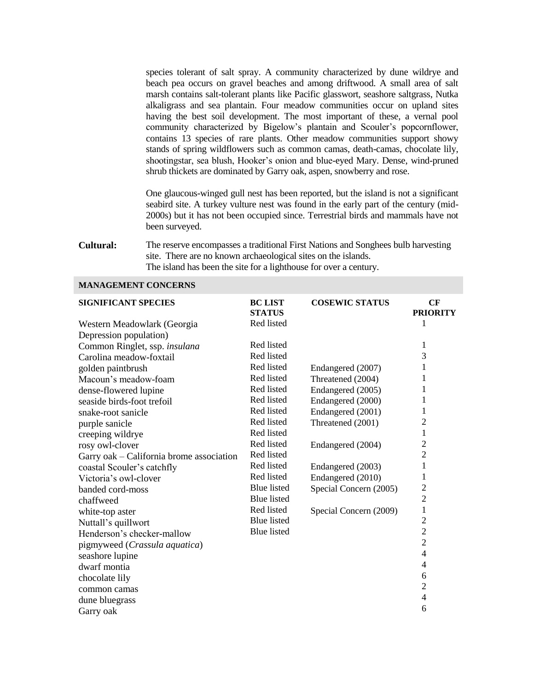species tolerant of salt spray. A community characterized by dune wildrye and beach pea occurs on gravel beaches and among driftwood. A small area of salt marsh contains salt-tolerant plants like Pacific glasswort, seashore saltgrass, Nutka alkaligrass and sea plantain. Four meadow communities occur on upland sites having the best soil development. The most important of these, a vernal pool community characterized by Bigelow's plantain and Scouler's popcornflower, contains 13 species of rare plants. Other meadow communities support showy stands of spring wildflowers such as common camas, death-camas, chocolate lily, shootingstar, sea blush, Hooker's onion and blue-eyed Mary. Dense, wind-pruned shrub thickets are dominated by Garry oak, aspen, snowberry and rose.

One glaucous-winged gull nest has been reported, but the island is not a significant seabird site. A turkey vulture nest was found in the early part of the century (mid-2000s) but it has not been occupied since. Terrestrial birds and mammals have not been surveyed.

**Cultural:** The reserve encompasses a traditional First Nations and Songhees bulb harvesting site. There are no known archaeological sites on the islands. The island has been the site for a lighthouse for over a century.

| <b>SIGNIFICANT SPECIES</b>               | <b>BC LIST</b><br><b>STATUS</b> | <b>COSEWIC STATUS</b>  | CF<br><b>PRIORITY</b> |
|------------------------------------------|---------------------------------|------------------------|-----------------------|
| Western Meadowlark (Georgia              | Red listed                      |                        | 1                     |
| Depression population)                   |                                 |                        |                       |
| Common Ringlet, ssp. insulana            | Red listed                      |                        | 1                     |
| Carolina meadow-foxtail                  | Red listed                      |                        | 3                     |
| golden paintbrush                        | Red listed                      | Endangered (2007)      | 1                     |
| Macoun's meadow-foam                     | Red listed                      | Threatened (2004)      | 1                     |
| dense-flowered lupine                    | Red listed                      | Endangered (2005)      | 1                     |
| seaside birds-foot trefoil               | Red listed                      | Endangered (2000)      | 1                     |
| snake-root sanicle                       | Red listed                      | Endangered (2001)      | 1                     |
| purple sanicle                           | Red listed                      | Threatened (2001)      | $\overline{c}$        |
| creeping wildrye                         | Red listed                      |                        | 1                     |
| rosy owl-clover                          | Red listed                      | Endangered (2004)      | $\overline{2}$        |
| Garry oak – California brome association | Red listed                      |                        | $\overline{2}$        |
| coastal Scouler's catchfly               | Red listed                      | Endangered (2003)      | $\mathbf{1}$          |
| Victoria's owl-clover                    | Red listed                      | Endangered (2010)      | 1                     |
| banded cord-moss                         | <b>Blue</b> listed              | Special Concern (2005) | $\overline{c}$        |
| chaffweed                                | <b>Blue</b> listed              |                        | $\overline{2}$        |
| white-top aster                          | Red listed                      | Special Concern (2009) | $\mathbf{1}$          |
| Nuttall's quillwort                      | <b>Blue</b> listed              |                        | $\overline{2}$        |
| Henderson's checker-mallow               | <b>Blue</b> listed              |                        | $\overline{2}$        |
| pigmyweed (Crassula aquatica)            |                                 |                        | $\overline{2}$        |
| seashore lupine                          |                                 |                        | $\overline{4}$        |
| dwarf montia                             |                                 |                        | $\overline{4}$        |
| chocolate lily                           |                                 |                        | 6                     |
| common camas                             |                                 |                        | $\overline{2}$        |
| dune bluegrass                           |                                 |                        | $\overline{4}$        |
| Garry oak                                |                                 |                        | 6                     |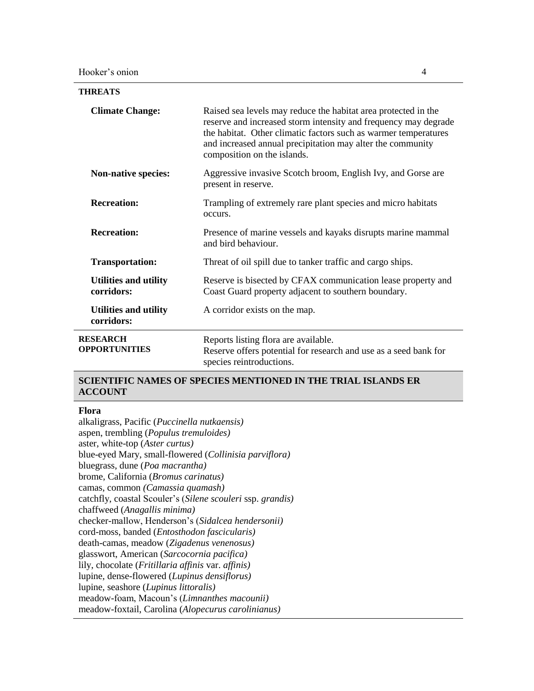| <b>THREATS</b>                             |                                                                                                                                                                                                                                                                                                   |  |
|--------------------------------------------|---------------------------------------------------------------------------------------------------------------------------------------------------------------------------------------------------------------------------------------------------------------------------------------------------|--|
| <b>Climate Change:</b>                     | Raised sea levels may reduce the habitat area protected in the<br>reserve and increased storm intensity and frequency may degrade<br>the habitat. Other climatic factors such as warmer temperatures<br>and increased annual precipitation may alter the community<br>composition on the islands. |  |
| <b>Non-native species:</b>                 | Aggressive invasive Scotch broom, English Ivy, and Gorse are<br>present in reserve.                                                                                                                                                                                                               |  |
| <b>Recreation:</b>                         | Trampling of extremely rare plant species and micro habitats<br>occurs.                                                                                                                                                                                                                           |  |
| <b>Recreation:</b>                         | Presence of marine vessels and kayaks disrupts marine mammal<br>and bird behaviour.                                                                                                                                                                                                               |  |
| <b>Transportation:</b>                     | Threat of oil spill due to tanker traffic and cargo ships.                                                                                                                                                                                                                                        |  |
| <b>Utilities and utility</b><br>corridors: | Reserve is bisected by CFAX communication lease property and<br>Coast Guard property adjacent to southern boundary.                                                                                                                                                                               |  |
| <b>Utilities and utility</b><br>corridors: | A corridor exists on the map.                                                                                                                                                                                                                                                                     |  |
| <b>RESEARCH</b><br><b>OPPORTUNITIES</b>    | Reports listing flora are available.<br>Reserve offers potential for research and use as a seed bank for<br>species reintroductions.                                                                                                                                                              |  |

## **SCIENTIFIC NAMES OF SPECIES MENTIONED IN THE TRIAL ISLANDS ER ACCOUNT**

## **Flora**

alkaligrass, Pacific (*Puccinella nutkaensis)* aspen, trembling (*Populus tremuloides)* aster, white-top (*Aster curtus)* blue-eyed Mary, small-flowered (*Collinisia parviflora)* bluegrass, dune (*Poa macrantha)* brome, California (*Bromus carinatus)* camas, common *(Camassia quamash)* catchfly, coastal Scouler's (*Silene scouleri* ssp. *grandis)* chaffweed (*Anagallis minima)* checker-mallow, Henderson's (*Sidalcea hendersonii)* cord-moss, banded (*Entosthodon fascicularis)* death-camas, meadow (*Zigadenus venenosus)* glasswort, American (*Sarcocornia pacifica)* lily, chocolate (*Fritillaria affinis* var. *affinis)* lupine, dense-flowered (*Lupinus densiflorus)* lupine, seashore (*Lupinus littoralis)* meadow-foam, Macoun's (*Limnanthes macounii)* meadow-foxtail, Carolina (*Alopecurus carolinianus)*